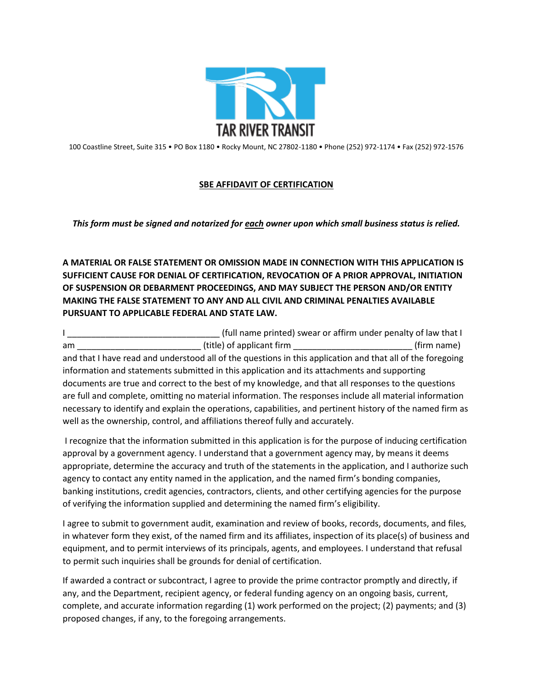

100 Coastline Street, Suite 315 • PO Box 1180 • Rocky Mount, NC 27802-1180 • Phone (252) 972-1174 • Fax (252) 972-1576

## **SBE AFFIDAVIT OF CERTIFICATION**

*This form must be signed and notarized for each owner upon which small business status is relied.*

**A MATERIAL OR FALSE STATEMENT OR OMISSION MADE IN CONNECTION WITH THIS APPLICATION IS SUFFICIENT CAUSE FOR DENIAL OF CERTIFICATION, REVOCATION OF A PRIOR APPROVAL, INITIATION OF SUSPENSION OR DEBARMENT PROCEEDINGS, AND MAY SUBJECT THE PERSON AND/OR ENTITY MAKING THE FALSE STATEMENT TO ANY AND ALL CIVIL AND CRIMINAL PENALTIES AVAILABLE PURSUANT TO APPLICABLE FEDERAL AND STATE LAW.** 

I \_\_\_\_\_\_\_\_\_\_\_\_\_\_\_\_\_\_\_\_\_\_\_\_\_\_\_\_\_\_\_\_ (full name printed) swear or affirm under penalty of law that I am am contract and title) of applicant firm the set of the set of the set of the set of the set of the set of t and that I have read and understood all of the questions in this application and that all of the foregoing information and statements submitted in this application and its attachments and supporting documents are true and correct to the best of my knowledge, and that all responses to the questions are full and complete, omitting no material information. The responses include all material information necessary to identify and explain the operations, capabilities, and pertinent history of the named firm as well as the ownership, control, and affiliations thereof fully and accurately.

I recognize that the information submitted in this application is for the purpose of inducing certification approval by a government agency. I understand that a government agency may, by means it deems appropriate, determine the accuracy and truth of the statements in the application, and I authorize such agency to contact any entity named in the application, and the named firm's bonding companies, banking institutions, credit agencies, contractors, clients, and other certifying agencies for the purpose of verifying the information supplied and determining the named firm's eligibility.

I agree to submit to government audit, examination and review of books, records, documents, and files, in whatever form they exist, of the named firm and its affiliates, inspection of its place(s) of business and equipment, and to permit interviews of its principals, agents, and employees. I understand that refusal to permit such inquiries shall be grounds for denial of certification.

If awarded a contract or subcontract, I agree to provide the prime contractor promptly and directly, if any, and the Department, recipient agency, or federal funding agency on an ongoing basis, current, complete, and accurate information regarding (1) work performed on the project; (2) payments; and (3) proposed changes, if any, to the foregoing arrangements.